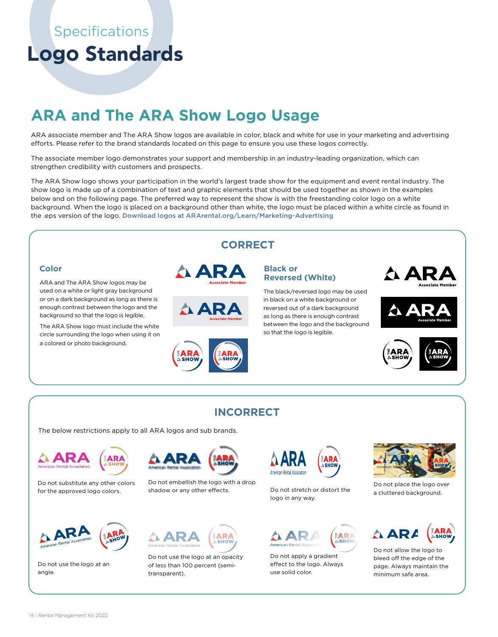**Logo** Standards

# **ARA and The ARA Show Logo Usage**

ARA associate member and The ARA Show logos are available in color, black and white for use in your marketing and advertising efforts. Please refer to the brand standards located on this page to ensure you use these logos correctly.

The associate member logo demonstrates your support and membership in an industry-leading organization, which can strengthen credibility with customers and prospects.

The ARA Show logo shows your participation in the world's largest trade show for the equipment and event rental industry. The show logo is made up of a combination of text and graphic elements that should be used together as shown in the examples below and on the following page. The preferred way to represent the show is with the freestanding color logo on a white background. When the logo is placed on a background other than white, the logo must be placed within a white circle as found in the .eps version of the logo. Download logos at ARArental.org/Learn/Marketing-Advertising



The below restrictions apply to all ARA logos and sub brands.



Do not substitute any other colors for the approved logo colors.



Do not use the logo at an angle.



Do not embellish the logo with a drop shadow or any other effects. Do not stretch or distort the



Do not use the logo at an opacity of less than 100 percent (semitransparent).



logo in any way.



Do not apply a gradient effect to the logo. Always use solid color.



Do not place the logo over a cluttered background.



Do not allow the logo to bleed off the edge of the page. Always maintain the minimum safe area.